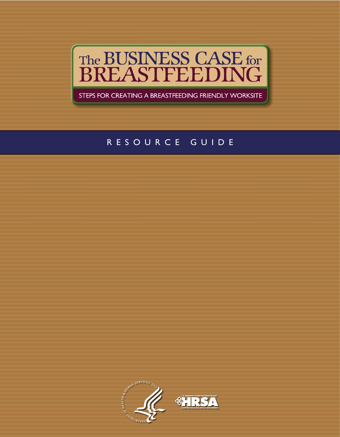

STEPS FOR CREATING A BREASTFEEDING FRIENDLY WORKSITE

# RESOURCE GUIDE

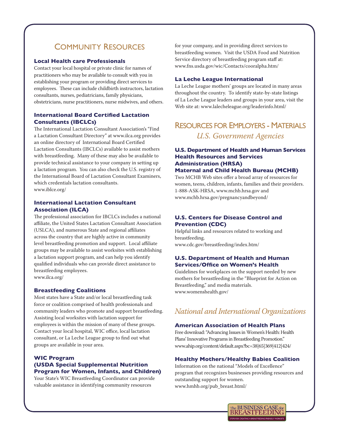# Community ResouRCes

#### **Local Health care Professionals**

Contact your local hospital or private clinic for names of practitioners who may be available to consult with you in establishing your program or providing direct services to employees. These can include childbirth instructors, lactation consultants, nurses, pediatricians, family physicians, obstetricians, nurse practitioners, nurse midwives, and others.

## **International Board Certified Lactation Consultants (IBCLCs)**

The International Lactation Consultant Association's "Find a Lactation Consultant Directory" at www.ilca.org provides an online directory of International Board Certified Lactation Consultants (IBCLCs) available to assist mothers with breastfeeding. Many of these may also be available to provide technical assistance to your company in setting up a lactation program. You can also check the U.S. registry of the International Board of Lactation Consultant Examiners, which credentials lactation consultants. www.iblce.org/

#### **International Lactation Consultant Association (ILCA)**

The professional association for IBCLCs includes a national affiliate, the United States Lactation Consultant Association (USLCA), and numerous State and regional affiliates across the country that are highly active in community level breastfeeding promotion and support. Local affiliate groups may be available to assist worksites with establishing a lactation support program, and can help you identify qualified individuals who can provide direct assistance to breastfeeding employees. www.ilca.org/

### **Breastfeeding Coalitions**

Most states have a State and/or local breastfeeding task force or coalition comprised of health professionals and community leaders who promote and support breastfeeding. Assisting local worksites with lactation support for employees is within the mission of many of these groups. Contact your local hospital, WIC office, local lactation consultant, or La Leche League group to find out what groups are available in your area.

### **WIC Program (USDA Special Supplemental Nutrition Program for Women, Infants, and Children)**

Your State's WIC Breastfeeding Coordinator can provide valuable assistance in identifying community resources

for your company, and in providing direct services to breastfeeding women. Visit the USDA Food and Nutrition Service directory of breastfeeding program staff at: www.fns.usda.gov/wic/Contacts/cooralpha.htm/

#### **La Leche League International**

La Leche League mothers' groups are located in many areas throughout the country. To identify state-by-state listings of La Leche League leaders and groups in your area, visit the Web site at: www.lalecheleague.org/leaderinfo.html/

# RESOURCES FOR EMPLOYERS - MATERIALS *U.S. Government Agencies*

# **U.S. Department of Health and Human Services Health Resources and Services Administration (HRSA)**

# **Maternal and Child Health Bureau (MCHB)**

Two MCHB Web sites offer a broad array of resources for women, teens, children, infants, families and their providers. 1-888-ASK-HRSA, www.mchb.hrsa.gov and www.mchb.hrsa.gov/pregnancyandbeyond/

## **U.S. Centers for Disease Control and Prevention (CDC)**

Helpful links and resources related to working and breastfeeding. www.cdc.gov/breastfeeding/index.htm/

## **U.S. Department of Health and Human Services/Office on Women's Health**

Guidelines for workplaces on the support needed by new mothers for breastfeeding in the "Blueprint for Action on Breastfeeding," and media materials. www.womenshealth.gov/

# *National and International Organizations*

### **American Association of Health Plans**

Free download: "Advancing Issues in Women's Health: Health Plans' Innovative Programs in Breastfeeding Promotion." www.ahip.org/content/default.aspx?bc=38|65|369|412|424/

### **Healthy Mothers/Healthy Babies Coalition**

Information on the national "Models of Excellence" program that recognizes businesses providing resources and outstanding support for women. www.hmhb.org/pub\_breast.html/

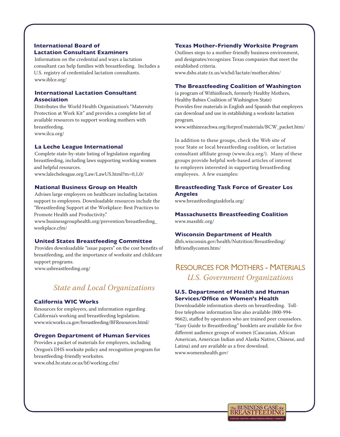## **International Board of Lactation Consultant Examiners**

Information on the credential and ways a lactation consultant can help families with breastfeeding. Includes a U.S. registry of credentialed lactation consultants. www.iblce.org/

## **International Lactation Consultant Association**

Distributes the World Health Organization's "Maternity Protection at Work Kit" and provides a complete list of available resources to support working mothers with breastfeeding. www.ilca.org/

## **La Leche League International**

Complete state-by-state listing of legislation regarding breastfeeding, including laws supporting working women and helpful resources.

www.lalecheleague.org/Law/LawUS.html?m=0,1,0/

#### **National Business Group on Health**

Advises large employers on healthcare including lactation support to employees. Downloadable resources include the "Breastfeeding Support at the Workplace: Best Practices to Promote Health and Productivity."

www.businessgrouphealth.org/prevention/breastfeeding\_ workplace.cfm/

### **United States Breastfeeding Committee**

Provides downloadable "issue papers" on the cost benefits of breastfeeding, and the importance of worksite and childcare support programs.

www.usbreastfeeding.org/

# *State and Local Organizations*

#### **California WIC Works**

Resources for employers, and information regarding California's working and breastfeeding legislation. www.wicworks.ca.gov/breastfeeding/BFResources.html/

#### **Oregon Department of Human Services**

Provides a packet of materials for employers, including Oregon's DHS worksite policy and recognition program for breastfeeding-friendly worksites.

www.ohd.hr.state.or.us/bf/working.cfm/

#### **Texas Mother-Friendly Worksite Program**

Outlines steps to a mother-friendly business environment, and designates/recognizes Texas companies that meet the established criteria.

www.dshs.state.tx.us/wichd/lactate/mother.shtm/

#### **The Breastfeeding Coalition of Washington**

(a program of WithinReach, formerly Healthy Mothers, Healthy Babies Coalition of Washington State) Provides free materials in English and Spanish that employers can download and use in establishing a worksite lactation program.

www.withinreachwa.org/forprof/materials/BCW\_packet.htm/

In addition to these groups, check the Web site of your State or local breastfeeding coalition, or lactation consultant affiliate group (www.ilca.org/). Many of these groups provide helpful web-based articles of interest to employers interested in supporting breastfeeding employees. A few examples:

### **Breastfeeding Task Force of Greater Los Angeles**

www.breastfeedingtaskforla.org/

**Massachusetts Breastfeeding Coalition** www.massbfc.org/

#### **Wisconsin Department of Health**

dhfs.wisconsin.gov/health/Nutrition/Breastfeeding/ bffriendlycomm.htm/

# ResouRCes foR motheRs - mateRials *U.S. Government Organizations*

### **U.S. Department of Health and Human Services/Office on Women's Health**

Downloadable information sheets on breastfeeding. Tollfree telephone information line also available (800-994- 9662), staffed by operators who are trained peer counselors. "Easy Guide to Breastfeeding" booklets are available for five different audience groups of women (Caucasian, African American, American Indian and Alaska Native, Chinese, and Latina) and are available as a free download. www.womenshealth.gov/

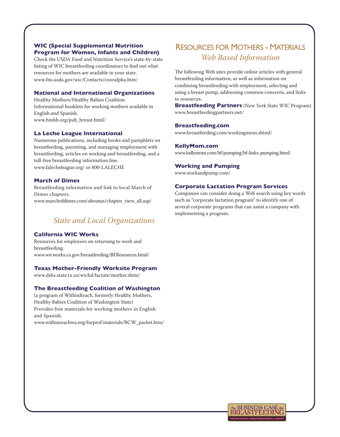### **WIC (Special Supplemental Nutrition Program for Women, Infants and Children)**

Check the USDA Food and Nutrition Service's state-by-state listing of WIC breastfeeding coordinators to find out what resources for mothers are available in your state. www.fns.usda.gov/wic/Contacts/cooralpha.htm/

#### **National and International Organizations**

Healthy Mothers/Healthy Babies Coalition Informational booklets for working mothers available in English and Spanish. www.hmhb.org/pub\_breast.html/

### **La Leche League International**

Numerous publications, including books and pamphlets on breastfeeding, parenting, and managing employment with breastfeeding, articles on working and breastfeeding, and a toll-free breastfeeding information line. www.lalecheleague.org/ or 800-LALECHE

#### **March of Dimes**

Breastfeeding information and link to local March of Dimes chapters. www.marchofdimes.com/aboutus/chapter\_view\_all.asp/

# *State and Local Organizations*

#### **California WIC Works**

Resources for employees on returning to work and breastfeeding. www.wicworks.ca.gov/breastfeeding/BFResources.html/

### **Texas Mother-Friendly Worksite Program**

www.dshs.state.tx.us/wichd/lactate/mother.shtm/

### **The Breastfeeding Coalition of Washington**

(a program of WithinReach, formerly Healthy Mothers, Healthy Babies Coalition of Washington State) Provides free materials for working mothers in English and Spanish. www.withinreachwa.org/forprof/materials/BCW\_packet.htm/

# ResouRCes foR motheRs - mateRials *Web Based Information*

The following Web sites provide online articles with general breastfeeding information, as well as information on combining breastfeeding with employment, selecting and using a breast pump, addressing common concerns, and links to resources.

**Breastfeeding Partners** (New York State WIC Program) www.breastfeedingpartners.net/

#### **Breastfeeding.com**

www.breastfeeding.com/workingmom.shtml/

# **KellyMom.com**

www.kellymom.com/bf/pumping/bf-links-pumping.html/

#### **Working and Pumping**

www.workandpump.com/

### **Corporate Lactation Program Services**

Companies can consider doing a Web search using key words such as "corporate lactation program" to identify one of several corporate programs that can assist a company with implementing a program.